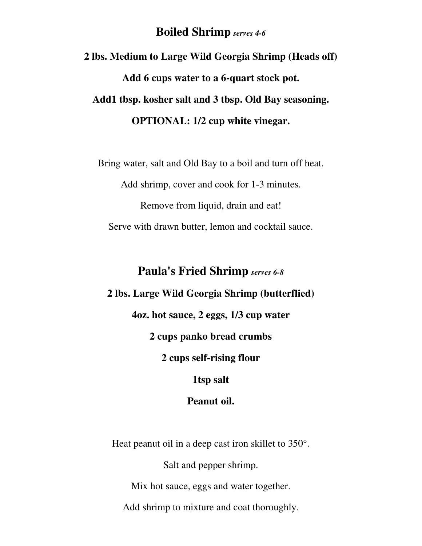### **Boiled Shrimp** *serves 4-6*

**2 lbs. Medium to Large Wild Georgia Shrimp (Heads off) Add 6 cups water to a 6-quart stock pot. Add1 tbsp. kosher salt and 3 tbsp. Old Bay seasoning. OPTIONAL: 1/2 cup white vinegar.** 

Bring water, salt and Old Bay to a boil and turn off heat.

Add shrimp, cover and cook for 1-3 minutes.

Remove from liquid, drain and eat! Serve with drawn butter, lemon and cocktail sauce.

# **Paula's Fried Shrimp** *serves 6-8* **2 lbs. Large Wild Georgia Shrimp (butterflied) 4oz. hot sauce, 2 eggs, 1/3 cup water 2 cups panko bread crumbs 2 cups self-rising flour 1tsp salt**

#### **Peanut oil.**

Heat peanut oil in a deep cast iron skillet to 350°.

Salt and pepper shrimp.

Mix hot sauce, eggs and water together.

Add shrimp to mixture and coat thoroughly.